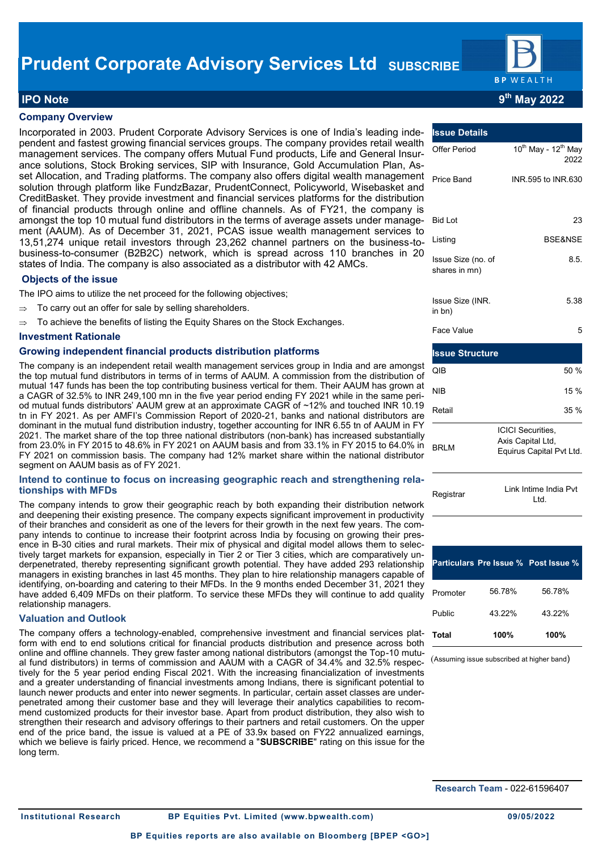

# **IPO Note 9th May 2022**

## **Company Overview**

Incorporated in 2003. Prudent Corporate Advisory Services is one of India's leading independent and fastest growing financial services groups. The company provides retail wealth management services. The company offers Mutual Fund products, Life and General Insurance solutions, Stock Broking services, SIP with Insurance, Gold Accumulation Plan, Asset Allocation, and Trading platforms. The company also offers digital wealth management solution through platform like FundzBazar, PrudentConnect, Policyworld, Wisebasket and CreditBasket. They provide investment and financial services platforms for the distribution of financial products through online and offline channels. As of FY21, the company is amongst the top 10 mutual fund distributors in the terms of average assets under management (AAUM). As of December 31, 2021, PCAS issue wealth management services to 13,51,274 unique retail investors through 23,262 channel partners on the business-tobusiness-to-consumer (B2B2C) network, which is spread across 110 branches in 20 states of India. The company is also associated as a distributor with 42 AMCs.

### **Objects of the issue**

The IPO aims to utilize the net proceed for the following objectives;

- To carry out an offer for sale by selling shareholders.
- To achieve the benefits of listing the Equity Shares on the Stock Exchanges.

### **Investment Rationale**

### **Growing independent financial products distribution platforms**

The company is an independent retail wealth management services group in India and are amongst the top mutual fund distributors in terms of in terms of AAUM. A commission from the distribution of mutual 147 funds has been the top contributing business vertical for them. Their AAUM has grown at a CAGR of 32.5% to INR 249,100 mn in the five year period ending FY 2021 while in the same period mutual funds distributors' AAUM grew at an approximate CAGR of ~12% and touched INR 10.19 tn in FY 2021. As per AMFI's Commission Report of 2020-21, banks and national distributors are dominant in the mutual fund distribution industry, together accounting for INR 6.55 tn of AAUM in FY 2021. The market share of the top three national distributors (non-bank) has increased substantially from 23.0% in FY 2015 to 48.6% in FY 2021 on AAUM basis and from 33.1% in FY 2015 to 64.0% in FY 2021 on commission basis. The company had 12% market share within the national distributor segment on AAUM basis as of FY 2021.

#### **Intend to continue to focus on increasing geographic reach and strengthening relationships with MFDs**

The company intends to grow their geographic reach by both expanding their distribution network and deepening their existing presence. The company expects significant improvement in productivity of their branches and considerit as one of the levers for their growth in the next few years. The company intends to continue to increase their footprint across India by focusing on growing their presence in B-30 cities and rural markets. Their mix of physical and digital model allows them to selectively target markets for expansion, especially in Tier 2 or Tier 3 cities, which are comparatively underpenetrated, thereby representing significant growth potential. They have added 293 relationship managers in existing branches in last 45 months. They plan to hire relationship managers capable of identifying, on-boarding and catering to their MFDs. In the 9 months ended December 31, 2021 they have added 6,409 MFDs on their platform. To service these MFDs they will continue to add quality relationship managers.

### **Valuation and Outlook**

The company offers a technology-enabled, comprehensive investment and financial services platform with end to end solutions critical for financial products distribution and presence across both online and offline channels. They grew faster among national distributors (amongst the Top-10 mutual fund distributors) in terms of commission and AAUM with a CAGR of 34.4% and 32.5% respectively for the 5 year period ending Fiscal 2021. With the increasing financialization of investments and a greater understanding of financial investments among Indians, there is significant potential to launch newer products and enter into newer segments. In particular, certain asset classes are underpenetrated among their customer base and they will leverage their analytics capabilities to recommend customized products for their investor base. Apart from product distribution, they also wish to strengthen their research and advisory offerings to their partners and retail customers. On the upper end of the price band, the issue is valued at a PE of 33.9x based on FY22 annualized earnings, which we believe is fairly priced. Hence, we recommend a "**SUBSCRIBE**" rating on this issue for the long term.

| <b>Issue Details</b>                |                                                                           |  |  |
|-------------------------------------|---------------------------------------------------------------------------|--|--|
| <b>Offer Period</b>                 | 10 <sup>th</sup> May - 12 <sup>th</sup> May<br>2022                       |  |  |
| Price Band                          | INR 595 to INR 630                                                        |  |  |
| <b>Bid Lot</b>                      | 23                                                                        |  |  |
| Listing                             | <b>BSE&amp;NSE</b>                                                        |  |  |
| Issue Size (no. of<br>shares in mn) | 8.5.                                                                      |  |  |
| Issue Size (INR.<br>in bn)          | 5.38                                                                      |  |  |
| Face Value                          | 5                                                                         |  |  |
| <b>Issue Structure</b>              |                                                                           |  |  |
| QIB                                 | 50 %                                                                      |  |  |
| NIB                                 | 15 %                                                                      |  |  |
| Retail                              | 35 %                                                                      |  |  |
| <b>BRLM</b>                         | <b>ICICI Securities,</b><br>Axis Capital Ltd,<br>Equirus Capital Pvt Ltd. |  |  |
| Registrar                           | Link Intime India Pvt                                                     |  |  |

|          |        | <b>Particulars Pre Issue % Post Issue %</b> |
|----------|--------|---------------------------------------------|
| Promoter | 56.78% | 56 78%                                      |
| Public   | 43 22% | 43 22%                                      |
| Total    | 100%   | 100%                                        |

Ltd.

(Assuming issue subscribed at higher band)

**Research Team** - 022-61596407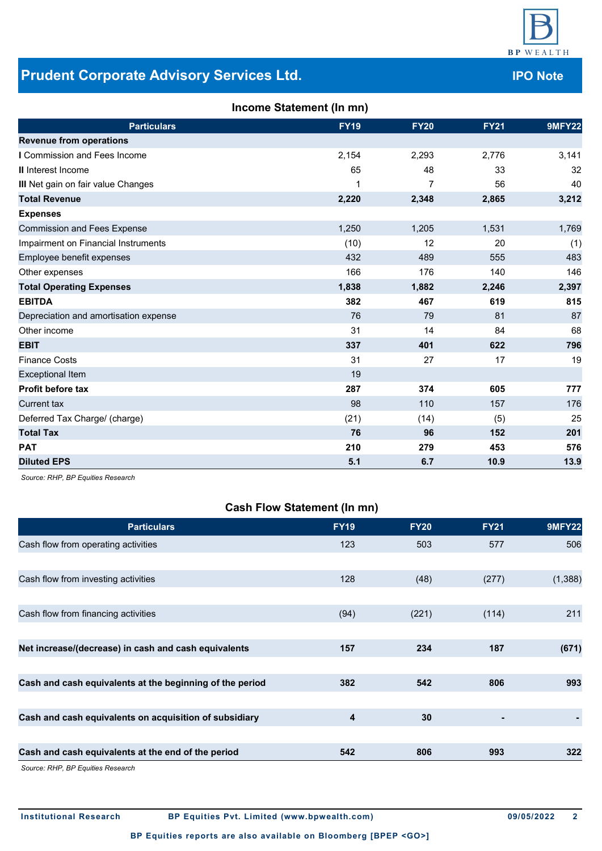

# **Prudent Corporate Advisory Services Ltd. Construction of the UPO Note**

| <b>Particulars</b>                    | <b>FY19</b> | <b>FY20</b>    | <b>FY21</b> | <b>9MFY22</b> |
|---------------------------------------|-------------|----------------|-------------|---------------|
| <b>Revenue from operations</b>        |             |                |             |               |
| I Commission and Fees Income          | 2,154       | 2,293          | 2,776       | 3,141         |
| <b>II</b> Interest Income             | 65          | 48             | 33          | 32            |
| III Net gain on fair value Changes    | 1           | $\overline{7}$ | 56          | 40            |
| <b>Total Revenue</b>                  | 2,220       | 2,348          | 2,865       | 3,212         |
| <b>Expenses</b>                       |             |                |             |               |
| <b>Commission and Fees Expense</b>    | 1,250       | 1,205          | 1,531       | 1,769         |
| Impairment on Financial Instruments   | (10)        | 12             | 20          | (1)           |
| Employee benefit expenses             | 432         | 489            | 555         | 483           |
| Other expenses                        | 166         | 176            | 140         | 146           |
| <b>Total Operating Expenses</b>       | 1,838       | 1,882          | 2,246       | 2,397         |
| <b>EBITDA</b>                         | 382         | 467            | 619         | 815           |
| Depreciation and amortisation expense | 76          | 79             | 81          | 87            |
| Other income                          | 31          | 14             | 84          | 68            |
| <b>EBIT</b>                           | 337         | 401            | 622         | 796           |
| <b>Finance Costs</b>                  | 31          | 27             | 17          | 19            |
| <b>Exceptional Item</b>               | 19          |                |             |               |
| <b>Profit before tax</b>              | 287         | 374            | 605         | 777           |
| <b>Current tax</b>                    | 98          | 110            | 157         | 176           |
| Deferred Tax Charge/ (charge)         | (21)        | (14)           | (5)         | 25            |
| <b>Total Tax</b>                      | 76          | 96             | 152         | 201           |
| <b>PAT</b>                            | 210         | 279            | 453         | 576           |
| <b>Diluted EPS</b>                    | 5.1         | 6.7            | 10.9        | 13.9          |

*Source: RHP, BP Equities Research*

# **Cash Flow Statement (In mn)**

| <b>Particulars</b>                                       | <b>FY19</b> | <b>FY20</b> | <b>FY21</b> | <b>9MFY22</b> |
|----------------------------------------------------------|-------------|-------------|-------------|---------------|
| Cash flow from operating activities                      | 123         | 503         | 577         | 506           |
|                                                          |             |             |             |               |
| Cash flow from investing activities                      | 128         | (48)        | (277)       | (1,388)       |
|                                                          |             |             |             |               |
| Cash flow from financing activities                      | (94)        | (221)       | (114)       | 211           |
|                                                          |             |             |             |               |
| Net increase/(decrease) in cash and cash equivalents     | 157         | 234         | 187         | (671)         |
|                                                          |             |             |             |               |
| Cash and cash equivalents at the beginning of the period | 382         | 542         | 806         | 993           |
|                                                          |             |             |             |               |
| Cash and cash equivalents on acquisition of subsidiary   | 4           | 30          |             |               |
|                                                          |             |             |             |               |
| Cash and cash equivalents at the end of the period       | 542         | 806         | 993         | 322           |
| Source: RHP, BP Equities Research                        |             |             |             |               |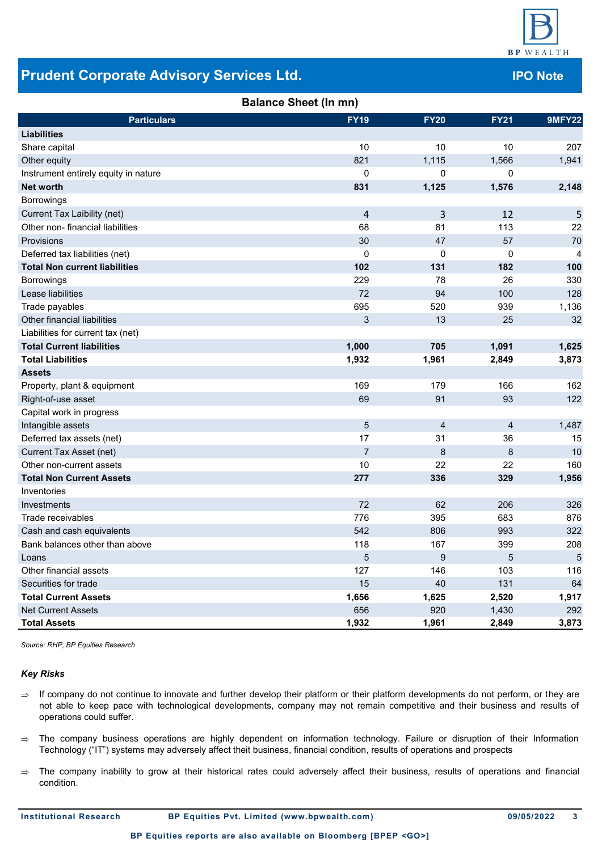

# **Prudent Corporate Advisory Services Ltd.**

| vices Ltd.                   |             |             | <b>IPO Not</b> |    |  |
|------------------------------|-------------|-------------|----------------|----|--|
| <b>Balance Sheet (In mn)</b> |             |             |                |    |  |
|                              | <b>FY19</b> | <b>FY20</b> | <b>FY21</b>    | 9N |  |

| <b>Particulars</b>                   | <b>FY19</b>    | <b>FY20</b> | <b>FY21</b> | 9MFY22 |
|--------------------------------------|----------------|-------------|-------------|--------|
| <b>Liabilities</b>                   |                |             |             |        |
| Share capital                        | 10             | 10          | 10          | 207    |
| Other equity                         | 821            | 1,115       | 1,566       | 1,941  |
| Instrument entirely equity in nature | 0              | 0           | 0           |        |
| <b>Net worth</b>                     | 831            | 1,125       | 1,576       | 2,148  |
| Borrowings                           |                |             |             |        |
| Current Tax Laibility (net)          | $\overline{4}$ | 3           | 12          | 5      |
| Other non-financial liabilities      | 68             | 81          | 113         | 22     |
| Provisions                           | 30             | 47          | 57          | 70     |
| Deferred tax liabilities (net)       | 0              | $\mathbf 0$ | $\mathbf 0$ | 4      |
| <b>Total Non current liabilities</b> | 102            | 131         | 182         | 100    |
| Borrowings                           | 229            | 78          | 26          | 330    |
| Lease liabilities                    | 72             | 94          | 100         | 128    |
| Trade payables                       | 695            | 520         | 939         | 1,136  |
| Other financial liabilities          | 3              | 13          | 25          | 32     |
| Liabilities for current tax (net)    |                |             |             |        |
| <b>Total Current liabilities</b>     | 1,000          | 705         | 1,091       | 1,625  |
| <b>Total Liabilities</b>             | 1,932          | 1,961       | 2,849       | 3,873  |
| <b>Assets</b>                        |                |             |             |        |
| Property, plant & equipment          | 169            | 179         | 166         | 162    |
| Right-of-use asset                   | 69             | 91          | 93          | 122    |
| Capital work in progress             |                |             |             |        |
| Intangible assets                    | 5              | 4           | 4           | 1,487  |
| Deferred tax assets (net)            | 17             | 31          | 36          | 15     |
| Current Tax Asset (net)              | $\overline{7}$ | 8           | 8           | 10     |
| Other non-current assets             | 10             | 22          | 22          | 160    |
| <b>Total Non Current Assets</b>      | 277            | 336         | 329         | 1,956  |
| Inventories                          |                |             |             |        |
| Investments                          | 72             | 62          | 206         | 326    |
| Trade receivables                    | 776            | 395         | 683         | 876    |
| Cash and cash equivalents            | 542            | 806         | 993         | 322    |
| Bank balances other than above       | 118            | 167         | 399         | 208    |
| Loans                                | 5              | 9           | 5           | 5      |
| Other financial assets               | 127            | 146         | 103         | 116    |
| Securities for trade                 | 15             | 40          | 131         | 64     |
| <b>Total Current Assets</b>          | 1,656          | 1,625       | 2,520       | 1,917  |
| <b>Net Current Assets</b>            | 656            | 920         | 1,430       | 292    |
| <b>Total Assets</b>                  | 1,932          | 1,961       | 2,849       | 3,873  |

*Source: RHP, BP Equities Research*

### *Key Risks*

- $\Rightarrow$  If company do not continue to innovate and further develop their platform or their platform developments do not perform, or they are not able to keep pace with technological developments, company may not remain competitive and their business and results of operations could suffer.
- $\Rightarrow$  The company business operations are highly dependent on information technology. Failure or disruption of their Information Technology ("IT") systems may adversely affect theit business, financial condition, results of operations and prospects
- $\Rightarrow$  The company inability to grow at their historical rates could adversely affect their business, results of operations and financial condition.